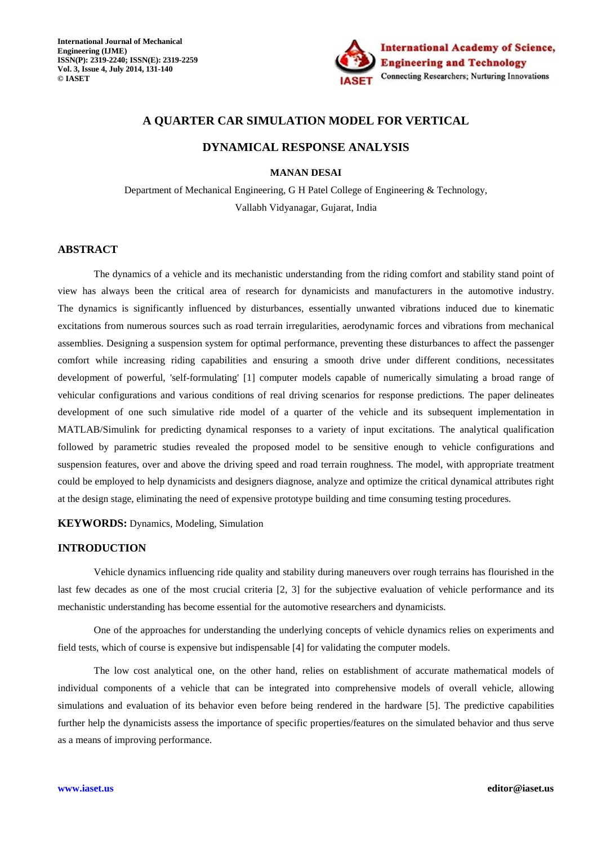

# **A QUARTER CAR SIMULATION MODEL FOR VERTICAL**

## **DYNAMICAL RESPONSE ANALYSIS**

**MANAN DESAI** 

Department of Mechanical Engineering, G H Patel College of Engineering & Technology, Vallabh Vidyanagar, Gujarat, India

#### **ABSTRACT**

The dynamics of a vehicle and its mechanistic understanding from the riding comfort and stability stand point of view has always been the critical area of research for dynamicists and manufacturers in the automotive industry. The dynamics is significantly influenced by disturbances, essentially unwanted vibrations induced due to kinematic excitations from numerous sources such as road terrain irregularities, aerodynamic forces and vibrations from mechanical assemblies. Designing a suspension system for optimal performance, preventing these disturbances to affect the passenger comfort while increasing riding capabilities and ensuring a smooth drive under different conditions, necessitates development of powerful, 'self-formulating' [1] computer models capable of numerically simulating a broad range of vehicular configurations and various conditions of real driving scenarios for response predictions. The paper delineates development of one such simulative ride model of a quarter of the vehicle and its subsequent implementation in MATLAB/Simulink for predicting dynamical responses to a variety of input excitations. The analytical qualification followed by parametric studies revealed the proposed model to be sensitive enough to vehicle configurations and suspension features, over and above the driving speed and road terrain roughness. The model, with appropriate treatment could be employed to help dynamicists and designers diagnose, analyze and optimize the critical dynamical attributes right at the design stage, eliminating the need of expensive prototype building and time consuming testing procedures.

**KEYWORDS:** Dynamics, Modeling, Simulation

## **INTRODUCTION**

Vehicle dynamics influencing ride quality and stability during maneuvers over rough terrains has flourished in the last few decades as one of the most crucial criteria [2, 3] for the subjective evaluation of vehicle performance and its mechanistic understanding has become essential for the automotive researchers and dynamicists.

One of the approaches for understanding the underlying concepts of vehicle dynamics relies on experiments and field tests, which of course is expensive but indispensable [4] for validating the computer models.

The low cost analytical one, on the other hand, relies on establishment of accurate mathematical models of individual components of a vehicle that can be integrated into comprehensive models of overall vehicle, allowing simulations and evaluation of its behavior even before being rendered in the hardware [5]. The predictive capabilities further help the dynamicists assess the importance of specific properties/features on the simulated behavior and thus serve as a means of improving performance.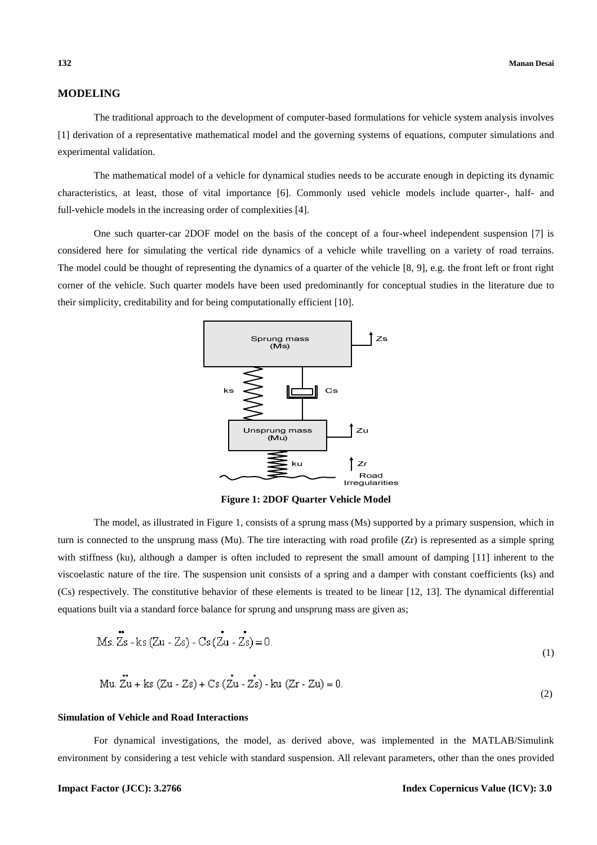# **MODELING**

The traditional approach to the development of computer-based formulations for vehicle system analysis involves [1] derivation of a representative mathematical model and the governing systems of equations, computer simulations and experimental validation.

The mathematical model of a vehicle for dynamical studies needs to be accurate enough in depicting its dynamic characteristics, at least, those of vital importance [6]. Commonly used vehicle models include quarter-, half- and full-vehicle models in the increasing order of complexities [4].

One such quarter-car 2DOF model on the basis of the concept of a four-wheel independent suspension [7] is considered here for simulating the vertical ride dynamics of a vehicle while travelling on a variety of road terrains. The model could be thought of representing the dynamics of a quarter of the vehicle [8, 9], e.g. the front left or front right corner of the vehicle. Such quarter models have been used predominantly for conceptual studies in the literature due to their simplicity, creditability and for being computationally efficient [10].



**Figure 1: 2DOF Quarter Vehicle Model** 

The model, as illustrated in Figure 1, consists of a sprung mass (Ms) supported by a primary suspension, which in turn is connected to the unsprung mass (Mu). The tire interacting with road profile (Zr) is represented as a simple spring with stiffness (ku), although a damper is often included to represent the small amount of damping [11] inherent to the viscoelastic nature of the tire. The suspension unit consists of a spring and a damper with constant coefficients (ks) and (Cs) respectively. The constitutive behavior of these elements is treated to be linear [12, 13]. The dynamical differential equations built via a standard force balance for sprung and unsprung mass are given as;

$$
Ms. Zs - ks (Zu - Zs) - Cs (Zu - Zs) = 0.
$$
\n(1)

Mu. 
$$
\vec{Z}u + ks (Zu - Zs) + Cs (Zu - Zs) - ku (Zr - Zu) = 0.
$$
 (2)

#### **Simulation of Vehicle and Road Interactions**

For dynamical investigations, the model, as derived above, was implemented in the MATLAB/Simulink environment by considering a test vehicle with standard suspension. All relevant parameters, other than the ones provided

## **Impact Factor (JCC): 3.2766 Index Copernicus Value (ICV): 3.0**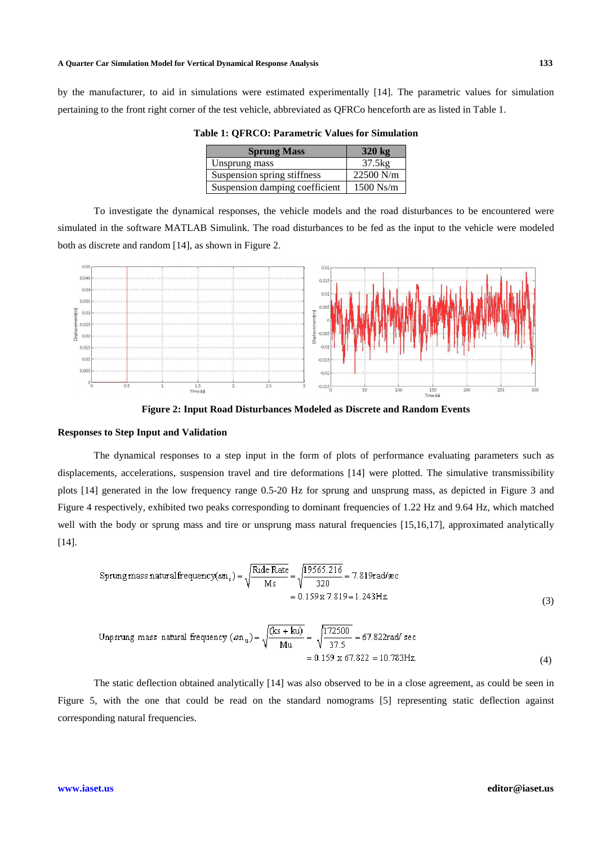by the manufacturer, to aid in simulations were estimated experimentally [14]. The parametric values for simulation pertaining to the front right corner of the test vehicle, abbreviated as QFRCo henceforth are as listed in Table 1.

| <b>Sprung Mass</b>             | $320 \text{ kg}$ |
|--------------------------------|------------------|
| Unsprung mass                  | 37.5kg           |
| Suspension spring stiffness    | $22500$ N/m      |
| Suspension damping coefficient | $1500$ Ns/m      |

**Table 1: QFRCO: Parametric Values for Simulation** 

To investigate the dynamical responses, the vehicle models and the road disturbances to be encountered were simulated in the software MATLAB Simulink. The road disturbances to be fed as the input to the vehicle were modeled both as discrete and random [14], as shown in Figure 2.



**Figure 2: Input Road Disturbances Modeled as Discrete and Random Events** 

#### **Responses to Step Input and Validation**

The dynamical responses to a step input in the form of plots of performance evaluating parameters such as displacements, accelerations, suspension travel and tire deformations [14] were plotted. The simulative transmissibility plots [14] generated in the low frequency range 0.5-20 Hz for sprung and unsprung mass, as depicted in Figure 3 and Figure 4 respectively, exhibited two peaks corresponding to dominant frequencies of 1.22 Hz and 9.64 Hz, which matched well with the body or sprung mass and tire or unsprung mass natural frequencies [15,16,17], approximated analytically [14].

$$
\text{Spring mass natural frequency}(\omega n_s) = \sqrt{\frac{\text{Ride Rate}}{\text{Ms}}} = \sqrt{\frac{19565.216}{320}} = 7.819 \text{rad/sec}
$$
\n
$$
= 0.159 \times 7.819 = 1.243 \text{ Hz.}
$$
\n(3)

Unpsrung mass natural frequency 
$$
(\omega n_u) = \sqrt{\frac{(ks + k u)}{Mu}} = \sqrt{\frac{172500}{37.5}} = 67.822 \text{ rad/sec}
$$
  
= 0.159 x 67.822 = 10.783Hz. (4)

The static deflection obtained analytically [14] was also observed to be in a close agreement, as could be seen in Figure 5, with the one that could be read on the standard nomograms [5] representing static deflection against corresponding natural frequencies.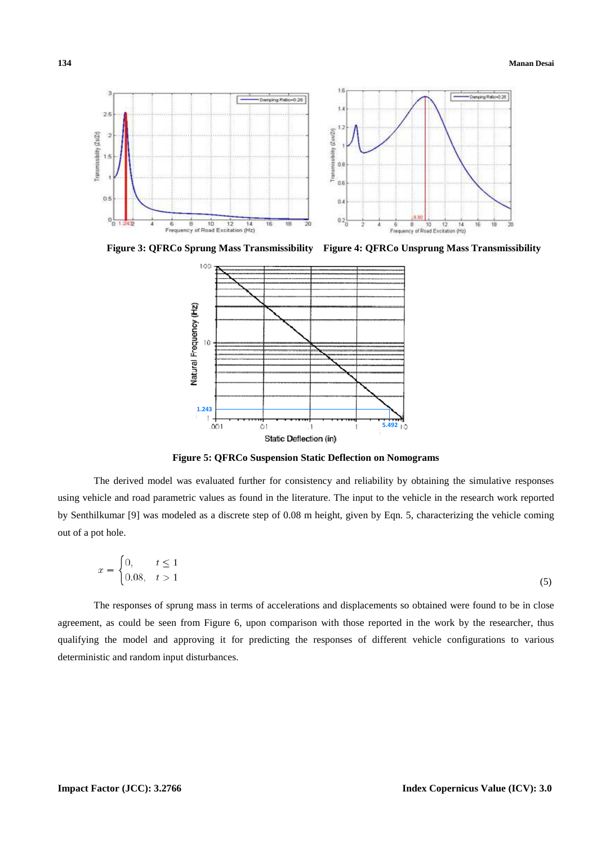

**Figure 3: QFRCo Sprung Mass Transmissibility Figure 4: QFRCo Unsprung Mass Transmissibility** 



**Figure 5: QFRCo Suspension Static Deflection on Nomograms** 

The derived model was evaluated further for consistency and reliability by obtaining the simulative responses using vehicle and road parametric values as found in the literature. The input to the vehicle in the research work reported by Senthilkumar [9] was modeled as a discrete step of 0.08 m height, given by Eqn. 5, characterizing the vehicle coming out of a pot hole.

$$
x = \begin{cases} 0, & t \le 1 \\ 0.08, & t > 1 \end{cases} \tag{5}
$$

The responses of sprung mass in terms of accelerations and displacements so obtained were found to be in close agreement, as could be seen from Figure 6, upon comparison with those reported in the work by the researcher, thus qualifying the model and approving it for predicting the responses of different vehicle configurations to various deterministic and random input disturbances.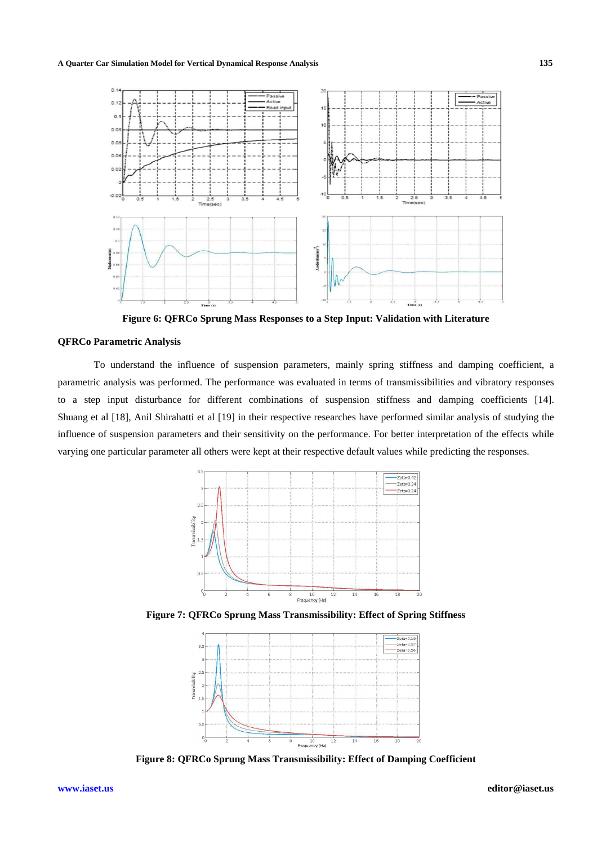#### **A Quarter Car Simulation Model for Vertical Dynamical Response Analysis 135**



**Figure 6: QFRCo Sprung Mass Responses to a Step Input: Validation with Literature** 

## **QFRCo Parametric Analysis**

To understand the influence of suspension parameters, mainly spring stiffness and damping coefficient, a parametric analysis was performed. The performance was evaluated in terms of transmissibilities and vibratory responses to a step input disturbance for different combinations of suspension stiffness and damping coefficients [14]. Shuang et al [18], Anil Shirahatti et al [19] in their respective researches have performed similar analysis of studying the influence of suspension parameters and their sensitivity on the performance. For better interpretation of the effects while varying one particular parameter all others were kept at their respective default values while predicting the responses.



**Figure 7: QFRCo Sprung Mass Transmissibility: Effect of Spring Stiffness** 



**Figure 8: QFRCo Sprung Mass Transmissibility: Effect of Damping Coefficient**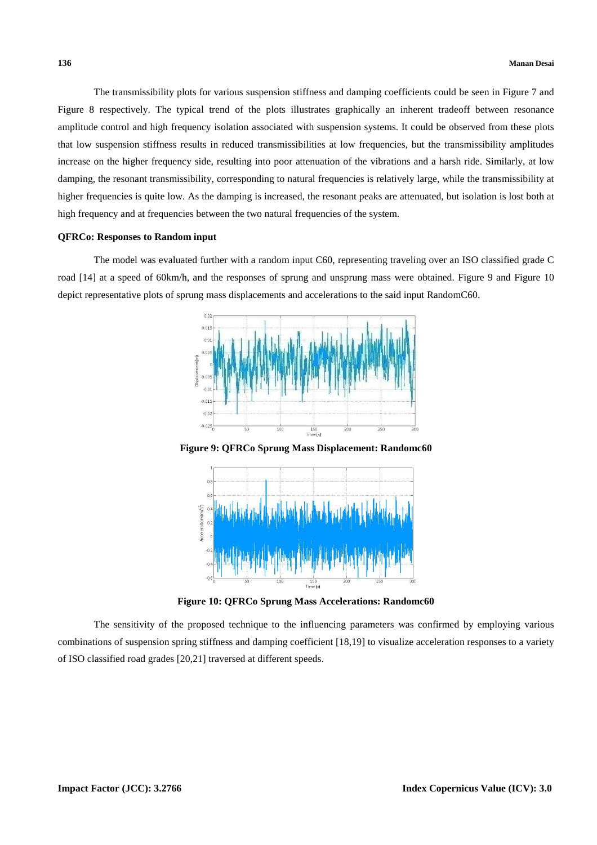The transmissibility plots for various suspension stiffness and damping coefficients could be seen in Figure 7 and Figure 8 respectively. The typical trend of the plots illustrates graphically an inherent tradeoff between resonance amplitude control and high frequency isolation associated with suspension systems. It could be observed from these plots that low suspension stiffness results in reduced transmissibilities at low frequencies, but the transmissibility amplitudes increase on the higher frequency side, resulting into poor attenuation of the vibrations and a harsh ride. Similarly, at low damping, the resonant transmissibility, corresponding to natural frequencies is relatively large, while the transmissibility at higher frequencies is quite low. As the damping is increased, the resonant peaks are attenuated, but isolation is lost both at high frequency and at frequencies between the two natural frequencies of the system.

#### **QFRCo: Responses to Random input**

The model was evaluated further with a random input C60, representing traveling over an ISO classified grade C road [14] at a speed of 60km/h, and the responses of sprung and unsprung mass were obtained. Figure 9 and Figure 10 depict representative plots of sprung mass displacements and accelerations to the said input RandomC60.



**Figure 9: QFRCo Sprung Mass Displacement: Randomc60**



**Figure 10: QFRCo Sprung Mass Accelerations: Randomc60** 

The sensitivity of the proposed technique to the influencing parameters was confirmed by employing various combinations of suspension spring stiffness and damping coefficient [18,19] to visualize acceleration responses to a variety of ISO classified road grades [20,21] traversed at different speeds.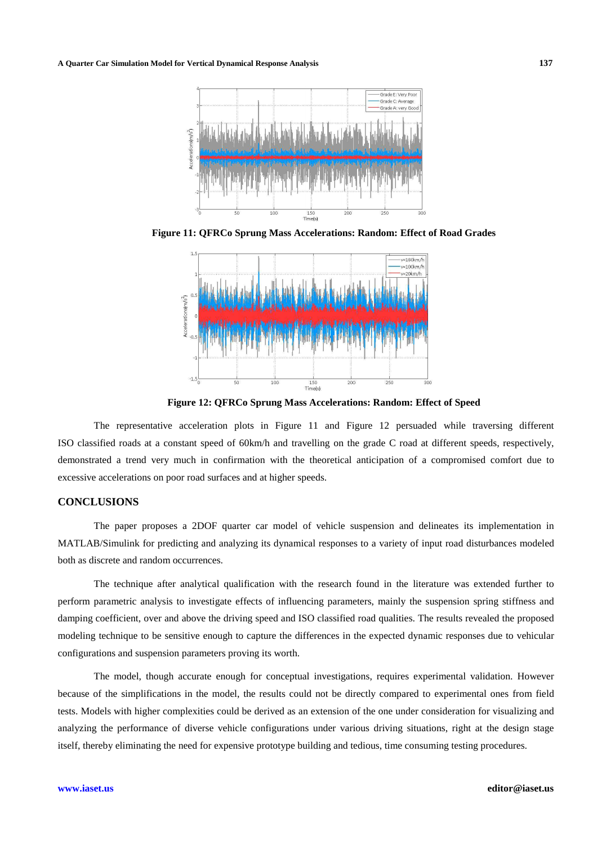**A Quarter Car Simulation Model for Vertical Dynamical Response Analysis 137**



**Figure 11: QFRCo Sprung Mass Accelerations: Random: Effect of Road Grades** 



**Figure 12: QFRCo Sprung Mass Accelerations: Random: Effect of Speed** 

The representative acceleration plots in Figure 11 and Figure 12 persuaded while traversing different ISO classified roads at a constant speed of 60km/h and travelling on the grade C road at different speeds, respectively, demonstrated a trend very much in confirmation with the theoretical anticipation of a compromised comfort due to excessive accelerations on poor road surfaces and at higher speeds.

# **CONCLUSIONS**

The paper proposes a 2DOF quarter car model of vehicle suspension and delineates its implementation in MATLAB/Simulink for predicting and analyzing its dynamical responses to a variety of input road disturbances modeled both as discrete and random occurrences.

The technique after analytical qualification with the research found in the literature was extended further to perform parametric analysis to investigate effects of influencing parameters, mainly the suspension spring stiffness and damping coefficient, over and above the driving speed and ISO classified road qualities. The results revealed the proposed modeling technique to be sensitive enough to capture the differences in the expected dynamic responses due to vehicular configurations and suspension parameters proving its worth.

The model, though accurate enough for conceptual investigations, requires experimental validation. However because of the simplifications in the model, the results could not be directly compared to experimental ones from field tests. Models with higher complexities could be derived as an extension of the one under consideration for visualizing and analyzing the performance of diverse vehicle configurations under various driving situations, right at the design stage itself, thereby eliminating the need for expensive prototype building and tedious, time consuming testing procedures.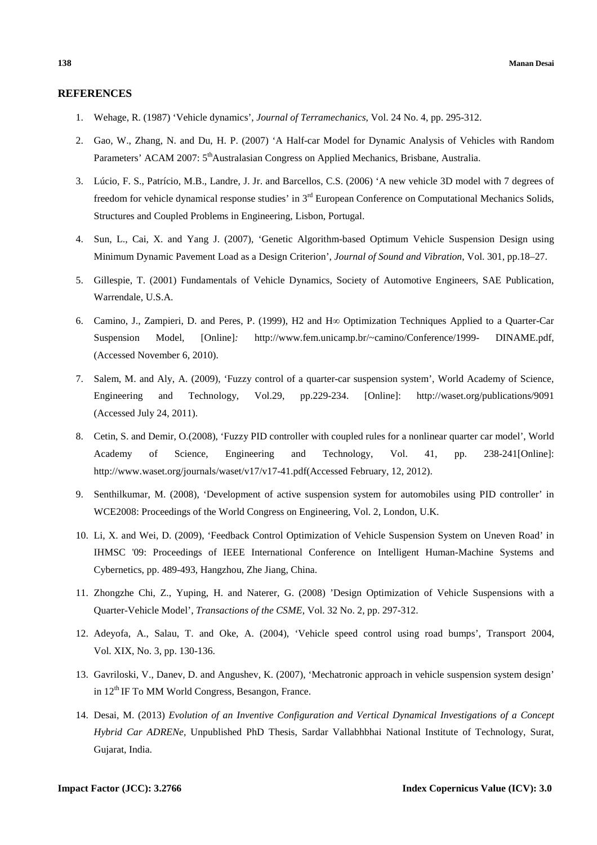## **REFERENCES**

- 1. Wehage, R. (1987) 'Vehicle dynamics', *Journal of Terramechanics*, Vol. 24 No. 4, pp. 295-312.
- 2. Gao, W., Zhang, N. and Du, H. P. (2007) 'A Half-car Model for Dynamic Analysis of Vehicles with Random Parameters' ACAM 2007: 5<sup>th</sup>Australasian Congress on Applied Mechanics, Brisbane, Australia.
- 3. Lúcio, F. S., Patrício, M.B., Landre, J. Jr. and Barcellos, C.S. (2006) 'A new vehicle 3D model with 7 degrees of freedom for vehicle dynamical response studies' in 3<sup>rd</sup> European Conference on Computational Mechanics Solids, Structures and Coupled Problems in Engineering, Lisbon, Portugal.
- 4. Sun, L., Cai, X. and Yang J. (2007), 'Genetic Algorithm-based Optimum Vehicle Suspension Design using Minimum Dynamic Pavement Load as a Design Criterion', *Journal of Sound and Vibration*, Vol. 301, pp.18–27.
- 5. Gillespie, T. (2001) Fundamentals of Vehicle Dynamics, Society of Automotive Engineers, SAE Publication, Warrendale, U.S.A.
- 6. Camino, J., Zampieri, D. and Peres, P. (1999), H2 and H∞ Optimization Techniques Applied to a Quarter-Car Suspension Model*,* [Online]*:* http://www.fem.unicamp.br/~camino/Conference/1999- DINAME.pdf, (Accessed November 6, 2010).
- 7. Salem, M. and Aly, A. (2009), 'Fuzzy control of a quarter-car suspension system', World Academy of Science, Engineering and Technology, Vol.29, pp.229-234. [Online]: http://waset.org/publications/9091 (Accessed July 24, 2011).
- 8. Cetin, S. and Demir, O.(2008), 'Fuzzy PID controller with coupled rules for a nonlinear quarter car model', World Academy of Science, Engineering and Technology, Vol. 41, pp. 238-241[Online]: http://www.waset.org/journals/waset/v17/v17-41.pdf(Accessed February, 12, 2012).
- 9. Senthilkumar, M. (2008), 'Development of active suspension system for automobiles using PID controller' in WCE2008: Proceedings of the World Congress on Engineering, Vol. 2, London, U.K.
- 10. Li, X. and Wei, D. (2009), 'Feedback Control Optimization of Vehicle Suspension System on Uneven Road' in IHMSC '09: Proceedings of IEEE International Conference on Intelligent Human-Machine Systems and Cybernetics, pp. 489-493, Hangzhou, Zhe Jiang, China.
- 11. Zhongzhe Chi, Z., Yuping, H. and Naterer, G. (2008) 'Design Optimization of Vehicle Suspensions with a Quarter-Vehicle Model', *Transactions of the CSME*, Vol. 32 No. 2, pp. 297-312.
- 12. Adeyofa, A., Salau, T. and Oke, A. (2004), 'Vehicle speed control using road bumps', Transport 2004, Vol. XIX, No. 3, pp. 130-136.
- 13. Gavriloski, V., Danev, D. and Angushev, K. (2007), 'Mechatronic approach in vehicle suspension system design' in  $12<sup>th</sup>$  IF To MM World Congress, Besangon, France.
- 14. Desai, M. (2013) *Evolution of an Inventive Configuration and Vertical Dynamical Investigations of a Concept Hybrid Car ADRENe,* Unpublished PhD Thesis, Sardar Vallabhbhai National Institute of Technology, Surat, Gujarat, India.